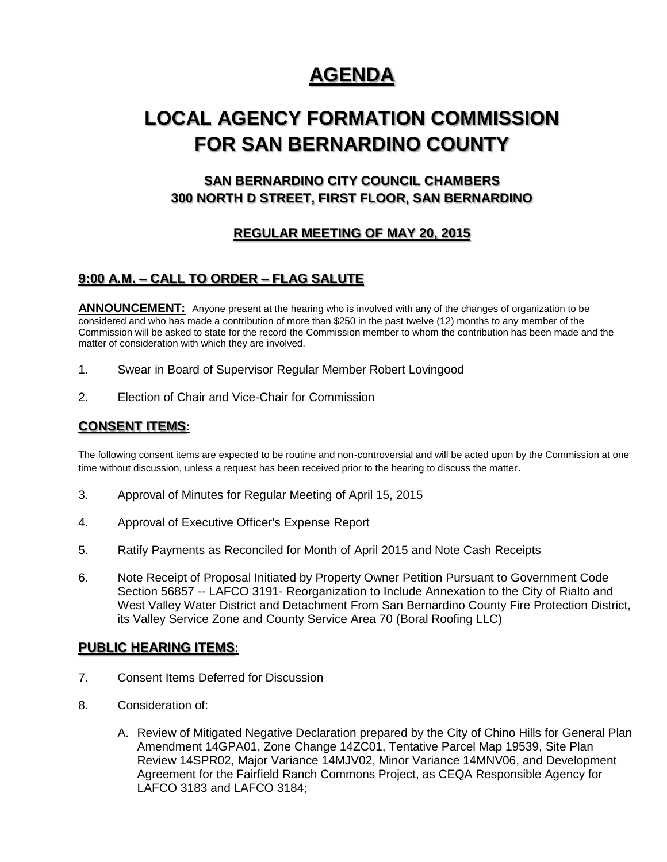# **AGENDA**

# **LOCAL AGENCY FORMATION COMMISSION FOR SAN BERNARDINO COUNTY**

## **SAN BERNARDINO CITY COUNCIL CHAMBERS 300 NORTH D STREET, FIRST FLOOR, SAN BERNARDINO**

### **REGULAR MEETING OF MAY 20, 2015**

### **9:00 A.M. – CALL TO ORDER – FLAG SALUTE**

ANNOUNCEMENT: Anyone present at the hearing who is involved with any of the changes of organization to be considered and who has made a contribution of more than \$250 in the past twelve (12) months to any member of the Commission will be asked to state for the record the Commission member to whom the contribution has been made and the matter of consideration with which they are involved.

- 1. Swear in Board of Supervisor Regular Member Robert Lovingood
- 2. Election of Chair and Vice-Chair for Commission

### **CONSENT ITEMS:**

The following consent items are expected to be routine and non-controversial and will be acted upon by the Commission at one time without discussion, unless a request has been received prior to the hearing to discuss the matter.

- 3. Approval of Minutes for Regular Meeting of April 15, 2015
- 4. Approval of Executive Officer's Expense Report
- 5. Ratify Payments as Reconciled for Month of April 2015 and Note Cash Receipts
- 6. Note Receipt of Proposal Initiated by Property Owner Petition Pursuant to Government Code Section 56857 -- LAFCO 3191- Reorganization to Include Annexation to the City of Rialto and West Valley Water District and Detachment From San Bernardino County Fire Protection District, its Valley Service Zone and County Service Area 70 (Boral Roofing LLC)

#### **PUBLIC HEARING ITEMS:**

- 7. Consent Items Deferred for Discussion
- 8. Consideration of:
	- A. Review of Mitigated Negative Declaration prepared by the City of Chino Hills for General Plan Amendment 14GPA01, Zone Change 14ZC01, Tentative Parcel Map 19539, Site Plan Review 14SPR02, Major Variance 14MJV02, Minor Variance 14MNV06, and Development Agreement for the Fairfield Ranch Commons Project, as CEQA Responsible Agency for LAFCO 3183 and LAFCO 3184;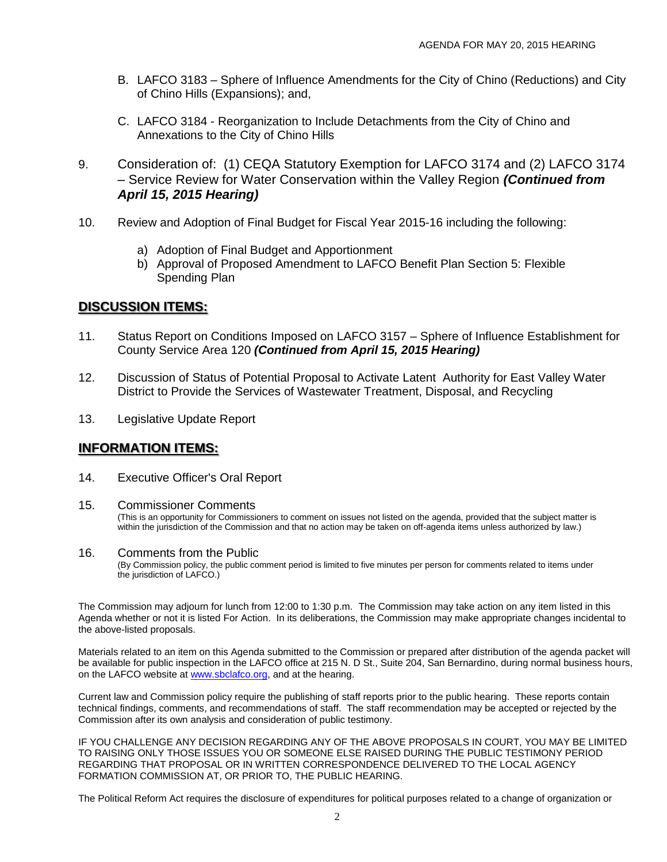- B. LAFCO 3183 Sphere of Influence Amendments for the City of Chino (Reductions) and City of Chino Hills (Expansions); and,
- C. LAFCO 3184 Reorganization to Include Detachments from the City of Chino and Annexations to the City of Chino Hills
- 9. Consideration of: (1) CEQA Statutory Exemption for LAFCO 3174 and (2) LAFCO 3174 – Service Review for Water Conservation within the Valley Region *(Continued from April 15, 2015 Hearing)*
- 10. Review and Adoption of Final Budget for Fiscal Year 2015-16 including the following:
	- a) Adoption of Final Budget and Apportionment
	- b) Approval of Proposed Amendment to LAFCO Benefit Plan Section 5: Flexible Spending Plan

#### **DISCUSSION ITEMS:**

- 11. Status Report on Conditions Imposed on LAFCO 3157 Sphere of Influence Establishment for County Service Area 120 *(Continued from April 15, 2015 Hearing)*
- 12. Discussion of Status of Potential Proposal to Activate Latent Authority for East Valley Water District to Provide the Services of Wastewater Treatment, Disposal, and Recycling
- 13. Legislative Update Report

#### **INFORMATION ITEMS:**

- 14. Executive Officer's Oral Report
- 15. Commissioner Comments

(This is an opportunity for Commissioners to comment on issues not listed on the agenda, provided that the subject matter is within the jurisdiction of the Commission and that no action may be taken on off-agenda items unless authorized by law.)

16. Comments from the Public

(By Commission policy, the public comment period is limited to five minutes per person for comments related to items under the jurisdiction of LAFCO.)

The Commission may adjourn for lunch from 12:00 to 1:30 p.m. The Commission may take action on any item listed in this Agenda whether or not it is listed For Action. In its deliberations, the Commission may make appropriate changes incidental to the above-listed proposals.

Materials related to an item on this Agenda submitted to the Commission or prepared after distribution of the agenda packet will be available for public inspection in the LAFCO office at 215 N. D St., Suite 204, San Bernardino, during normal business hours, on the LAFCO website at [www.sbclafco.org,](http://www.sbclafco.org/) and at the hearing.

Current law and Commission policy require the publishing of staff reports prior to the public hearing. These reports contain technical findings, comments, and recommendations of staff. The staff recommendation may be accepted or rejected by the Commission after its own analysis and consideration of public testimony.

IF YOU CHALLENGE ANY DECISION REGARDING ANY OF THE ABOVE PROPOSALS IN COURT, YOU MAY BE LIMITED TO RAISING ONLY THOSE ISSUES YOU OR SOMEONE ELSE RAISED DURING THE PUBLIC TESTIMONY PERIOD REGARDING THAT PROPOSAL OR IN WRITTEN CORRESPONDENCE DELIVERED TO THE LOCAL AGENCY FORMATION COMMISSION AT, OR PRIOR TO, THE PUBLIC HEARING.

The Political Reform Act requires the disclosure of expenditures for political purposes related to a change of organization or